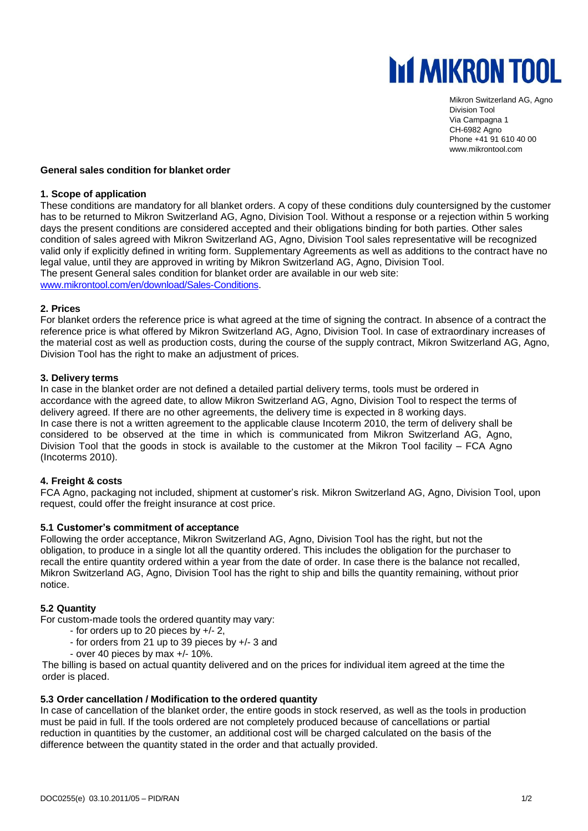

Mikron Switzerland AG, Agno Division Tool Via Campagna 1 CH-6982 Agno Phone +41 91 610 40 00 www.mikrontool.com

# **General sales condition for blanket order**

#### **1. Scope of application**

These conditions are mandatory for all blanket orders. A copy of these conditions duly countersigned by the customer has to be returned to Mikron Switzerland AG, Agno, Division Tool. Without a response or a rejection within 5 working days the present conditions are considered accepted and their obligations binding for both parties. Other sales condition of sales agreed with Mikron Switzerland AG, Agno, Division Tool sales representative will be recognized valid only if explicitly defined in writing form. Supplementary Agreements as well as additions to the contract have no legal value, until they are approved in writing by Mikron Switzerland AG, Agno, Division Tool. The present General sales condition for blanket order are available in our web site: [www.mikrontool.com/en/download/Sales-Conditions.](www.mikrontool.com/en/download/Sales-Conditions)

#### **2. Prices**

For blanket orders the reference price is what agreed at the time of signing the contract. In absence of a contract the reference price is what offered by Mikron Switzerland AG, Agno, Division Tool. In case of extraordinary increases of the material cost as well as production costs, during the course of the supply contract, Mikron Switzerland AG, Agno, Division Tool has the right to make an adjustment of prices.

## **3. Delivery terms**

In case in the blanket order are not defined a detailed partial delivery terms, tools must be ordered in accordance with the agreed date, to allow Mikron Switzerland AG, Agno, Division Tool to respect the terms of delivery agreed. If there are no other agreements, the delivery time is expected in 8 working days. In case there is not a written agreement to the applicable clause Incoterm 2010, the term of delivery shall be considered to be observed at the time in which is communicated from Mikron Switzerland AG, Agno, Division Tool that the goods in stock is available to the customer at the Mikron Tool facility – FCA Agno (Incoterms 2010).

### **4. Freight & costs**

FCA Agno, packaging not included, shipment at customer's risk. Mikron Switzerland AG, Agno, Division Tool, upon request, could offer the freight insurance at cost price.

### **5.1 Customer's commitment of acceptance**

Following the order acceptance, Mikron Switzerland AG, Agno, Division Tool has the right, but not the obligation, to produce in a single lot all the quantity ordered. This includes the obligation for the purchaser to recall the entire quantity ordered within a year from the date of order. In case there is the balance not recalled, Mikron Switzerland AG, Agno, Division Tool has the right to ship and bills the quantity remaining, without prior notice.

### **5.2 Quantity**

For custom-made tools the ordered quantity may vary:

- for orders up to 20 pieces by +/- 2,
- for orders from 21 up to 39 pieces by +/- 3 and
- over 40 pieces by max +/- 10%.

The billing is based on actual quantity delivered and on the prices for individual item agreed at the time the order is placed.

### **5.3 Order cancellation / Modification to the ordered quantity**

In case of cancellation of the blanket order, the entire goods in stock reserved, as well as the tools in production must be paid in full. If the tools ordered are not completely produced because of cancellations or partial reduction in quantities by the customer, an additional cost will be charged calculated on the basis of the difference between the quantity stated in the order and that actually provided.